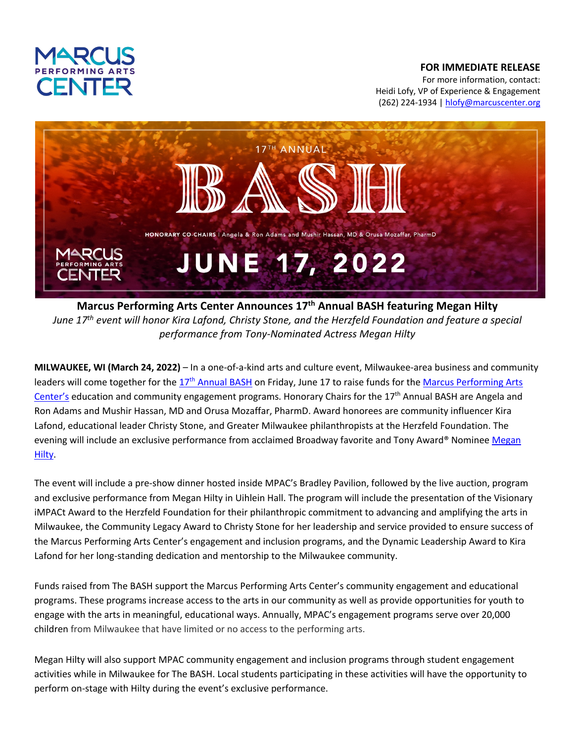

## **FOR IMMEDIATE RELEASE**

For more information, contact: Heidi Lofy, VP of Experience & Engagement (262) 224-1934 | hlofy@marcuscenter.org



**Marcus Performing Arts Center Announces 17th Annual BASH featuring Megan Hilty** *June 17th event will honor Kira Lafond, Christy Stone, and the Herzfeld Foundation and feature a special performance from Tony-Nominated Actress Megan Hilty*

**MILWAUKEE, WI (March 24, 2022)** – In a one-of-a-kind arts and culture event, Milwaukee-area business and community leaders will come together for the 17<sup>th</sup> Annual BASH on Friday, June 17 to raise funds for the Marcus Performing Arts Center's education and community engagement programs. Honorary Chairs for the 17<sup>th</sup> Annual BASH are Angela and Ron Adams and Mushir Hassan, MD and Orusa Mozaffar, PharmD. Award honorees are community influencer Kira Lafond, educational leader Christy Stone, and Greater Milwaukee philanthropists at the Herzfeld Foundation. The evening will include an exclusive performance from acclaimed Broadway favorite and Tony Award® Nominee Megan Hilty.

The event will include a pre-show dinner hosted inside MPAC's Bradley Pavilion, followed by the live auction, program and exclusive performance from Megan Hilty in Uihlein Hall. The program will include the presentation of the Visionary iMPACt Award to the Herzfeld Foundation for their philanthropic commitment to advancing and amplifying the arts in Milwaukee, the Community Legacy Award to Christy Stone for her leadership and service provided to ensure success of the Marcus Performing Arts Center's engagement and inclusion programs, and the Dynamic Leadership Award to Kira Lafond for her long-standing dedication and mentorship to the Milwaukee community.

Funds raised from The BASH support the Marcus Performing Arts Center's community engagement and educational programs. These programs increase access to the arts in our community as well as provide opportunities for youth to engage with the arts in meaningful, educational ways. Annually, MPAC's engagement programs serve over 20,000 children from Milwaukee that have limited or no access to the performing arts.

Megan Hilty will also support MPAC community engagement and inclusion programs through student engagement activities while in Milwaukee for The BASH. Local students participating in these activities will have the opportunity to perform on-stage with Hilty during the event's exclusive performance.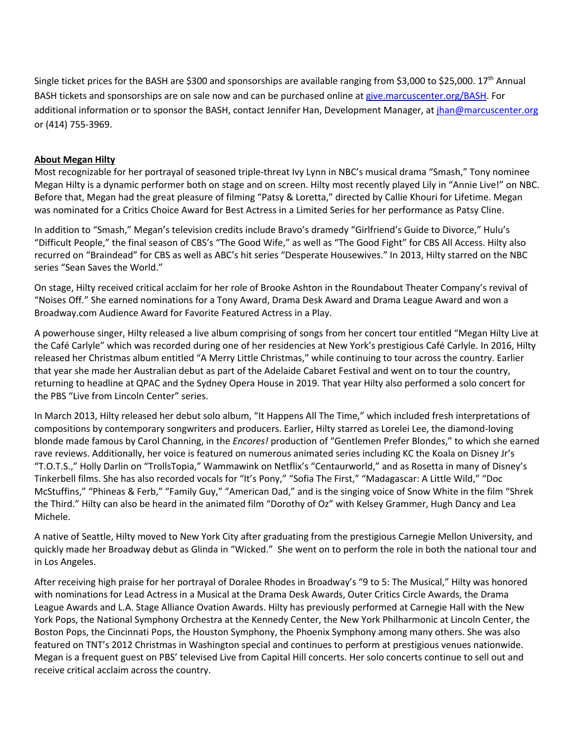Single ticket prices for the BASH are \$300 and sponsorships are available ranging from \$3,000 to \$25,000. 17<sup>th</sup> Annual BASH tickets and sponsorships are on sale now and can be purchased online at give.marcuscenter.org/BASH. For additional information or to sponsor the BASH, contact Jennifer Han, Development Manager, at jhan@marcuscenter.org or (414) 755-3969.

## **About Megan Hilty**

Most recognizable for her portrayal of seasoned triple-threat Ivy Lynn in NBC's musical drama "Smash," Tony nominee Megan Hilty is a dynamic performer both on stage and on screen. Hilty most recently played Lily in "Annie Live!" on NBC. Before that, Megan had the great pleasure of filming "Patsy & Loretta," directed by Callie Khouri for Lifetime. Megan was nominated for a Critics Choice Award for Best Actress in a Limited Series for her performance as Patsy Cline.

In addition to "Smash," Megan's television credits include Bravo's dramedy "Girlfriend's Guide to Divorce," Hulu's "Difficult People," the final season of CBS's "The Good Wife," as well as "The Good Fight" for CBS All Access. Hilty also recurred on "Braindead" for CBS as well as ABC's hit series "Desperate Housewives." In 2013, Hilty starred on the NBC series "Sean Saves the World."

On stage, Hilty received critical acclaim for her role of Brooke Ashton in the Roundabout Theater Company's revival of "Noises Off." She earned nominations for a Tony Award, Drama Desk Award and Drama League Award and won a Broadway.com Audience Award for Favorite Featured Actress in a Play.

A powerhouse singer, Hilty released a live album comprising of songs from her concert tour entitled "Megan Hilty Live at the Café Carlyle" which was recorded during one of her residencies at New York's prestigious Café Carlyle. In 2016, Hilty released her Christmas album entitled "A Merry Little Christmas," while continuing to tour across the country. Earlier that year she made her Australian debut as part of the Adelaide Cabaret Festival and went on to tour the country, returning to headline at QPAC and the Sydney Opera House in 2019. That year Hilty also performed a solo concert for the PBS "Live from Lincoln Center" series.

In March 2013, Hilty released her debut solo album, "It Happens All The Time," which included fresh interpretations of compositions by contemporary songwriters and producers. Earlier, Hilty starred as Lorelei Lee, the diamond-loving blonde made famous by Carol Channing, in the *Encores!* production of "Gentlemen Prefer Blondes," to which she earned rave reviews. Additionally, her voice is featured on numerous animated series including KC the Koala on Disney Jr's "T.O.T.S.," Holly Darlin on "TrollsTopia," Wammawink on Netflix's "Centaurworld," and as Rosetta in many of Disney's Tinkerbell films. She has also recorded vocals for "It's Pony," "Sofia The First," "Madagascar: A Little Wild," "Doc McStuffins," "Phineas & Ferb," "Family Guy," "American Dad," and is the singing voice of Snow White in the film "Shrek the Third." Hilty can also be heard in the animated film "Dorothy of Oz" with Kelsey Grammer, Hugh Dancy and Lea Michele.

A native of Seattle, Hilty moved to New York City after graduating from the prestigious Carnegie Mellon University, and quickly made her Broadway debut as Glinda in "Wicked." She went on to perform the role in both the national tour and in Los Angeles.

After receiving high praise for her portrayal of Doralee Rhodes in Broadway's "9 to 5: The Musical," Hilty was honored with nominations for Lead Actress in a Musical at the Drama Desk Awards, Outer Critics Circle Awards, the Drama League Awards and L.A. Stage Alliance Ovation Awards. Hilty has previously performed at Carnegie Hall with the New York Pops, the National Symphony Orchestra at the Kennedy Center, the New York Philharmonic at Lincoln Center, the Boston Pops, the Cincinnati Pops, the Houston Symphony, the Phoenix Symphony among many others. She was also featured on TNT's 2012 Christmas in Washington special and continues to perform at prestigious venues nationwide. Megan is a frequent guest on PBS' televised Live from Capital Hill concerts. Her solo concerts continue to sell out and receive critical acclaim across the country.